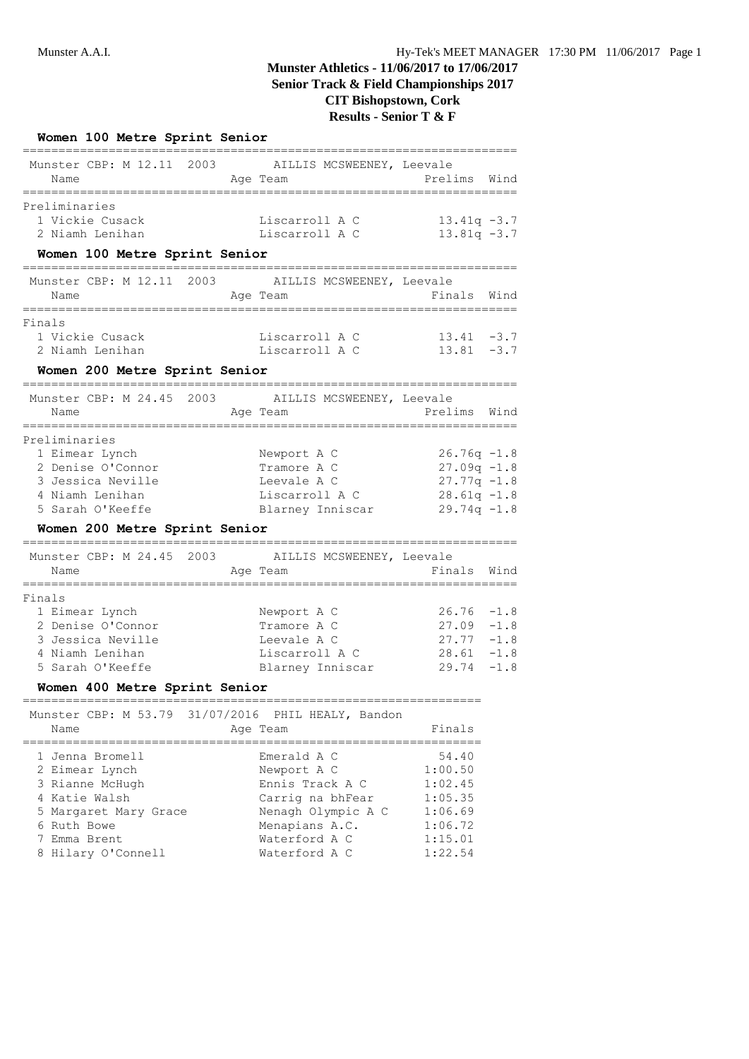|                                                                                                         | Women 100 Metre Sprint Senior                                           |              |                                                                                                                                             |                                                                                    |                                      |
|---------------------------------------------------------------------------------------------------------|-------------------------------------------------------------------------|--------------|---------------------------------------------------------------------------------------------------------------------------------------------|------------------------------------------------------------------------------------|--------------------------------------|
| Munster CBP: M 12.11 2003<br>Name<br>===========                                                        |                                                                         |              | AILLIS MCSWEENEY, Leevale<br>Age Team                                                                                                       | Prelims Wind                                                                       |                                      |
| Preliminaries<br>1 Vickie Cusack<br>2 Niamh Lenihan                                                     |                                                                         |              | Liscarroll A C<br>Liscarroll A C                                                                                                            | $13.41q -3.7$<br>$13.81q - 3.7$                                                    |                                      |
|                                                                                                         | Women 100 Metre Sprint Senior                                           |              |                                                                                                                                             |                                                                                    |                                      |
| Name<br>===========                                                                                     |                                                                         | Age Team     | Munster CBP: M 12.11 2003 AILLIS MCSWEENEY, Leevale                                                                                         | Finals Wind                                                                        |                                      |
| Finals<br>1 Vickie Cusack<br>2 Niamh Lenihan                                                            |                                                                         |              | Liscarroll A C<br>Liscarroll A C                                                                                                            | $13.41 - 3.7$<br>$13.81 - 3.7$                                                     |                                      |
| ________________________                                                                                | Women 200 Metre Sprint Senior                                           |              |                                                                                                                                             |                                                                                    |                                      |
| Name                                                                                                    |                                                                         |              | Munster CBP: M 24.45 2003 AILLIS MCSWEENEY, Leevale<br>Age Team                                                                             | Prelims Wind                                                                       |                                      |
| Preliminaries<br>1 Eimear Lynch<br>4 Niamh Lenihan<br>5 Sarah O'Keeffe                                  | 2 Denise O'Connor<br>3 Jessica Neville                                  |              | Newport A C<br>Tramore A C<br>Leevale A C<br>Liscarroll A C<br>Blarney Inniscar                                                             | $26.76q -1.8$<br>$27.09q -1.8$<br>$27.77q -1.8$<br>$28.61q -1.8$<br>$29.74q -1.8$  |                                      |
|                                                                                                         | Women 200 Metre Sprint Senior                                           |              |                                                                                                                                             |                                                                                    |                                      |
| ==========================<br>Munster CBP: M 24.45 2003<br>Name                                         |                                                                         | ============ | AILLIS MCSWEENEY, Leevale<br>Age Team                                                                                                       | Finals Wind                                                                        |                                      |
| Finals<br>1 Eimear Lynch<br>4 Niamh Lenihan<br>5 Sarah O'Keeffe                                         | 2 Denise O'Connor<br>3 Jessica Neville<br>Women 400 Metre Sprint Senior |              | Newport A C<br>Tramore A C<br>Leevale A C<br>Liscarroll A C<br>Blarney Inniscar                                                             | 26.76<br>27.09<br>$27.77 - 1.8$<br>28.61<br>29.74                                  | $-1.8$<br>$-1.8$<br>$-1.8$<br>$-1.8$ |
| Name                                                                                                    |                                                                         |              | Munster CBP: M 53.79 31/07/2016 PHIL HEALY, Bandon<br>Age Team                                                                              | Finals                                                                             |                                      |
| 1 Jenna Bromell<br>2 Eimear Lynch<br>3 Rianne McHugh<br>4 Katie Walsh<br>6 Ruth Bowe<br>7<br>Emma Brent | 5 Margaret Mary Grace<br>8 Hilary O'Connell                             |              | Emerald A C<br>Newport A C<br>Ennis Track A C<br>Carrig na bhFear<br>Nenagh Olympic A C<br>Menapians A.C.<br>Waterford A C<br>Waterford A C | 54.40<br>1:00.50<br>1:02.45<br>1:05.35<br>1:06.69<br>1:06.72<br>1:15.01<br>1:22.54 |                                      |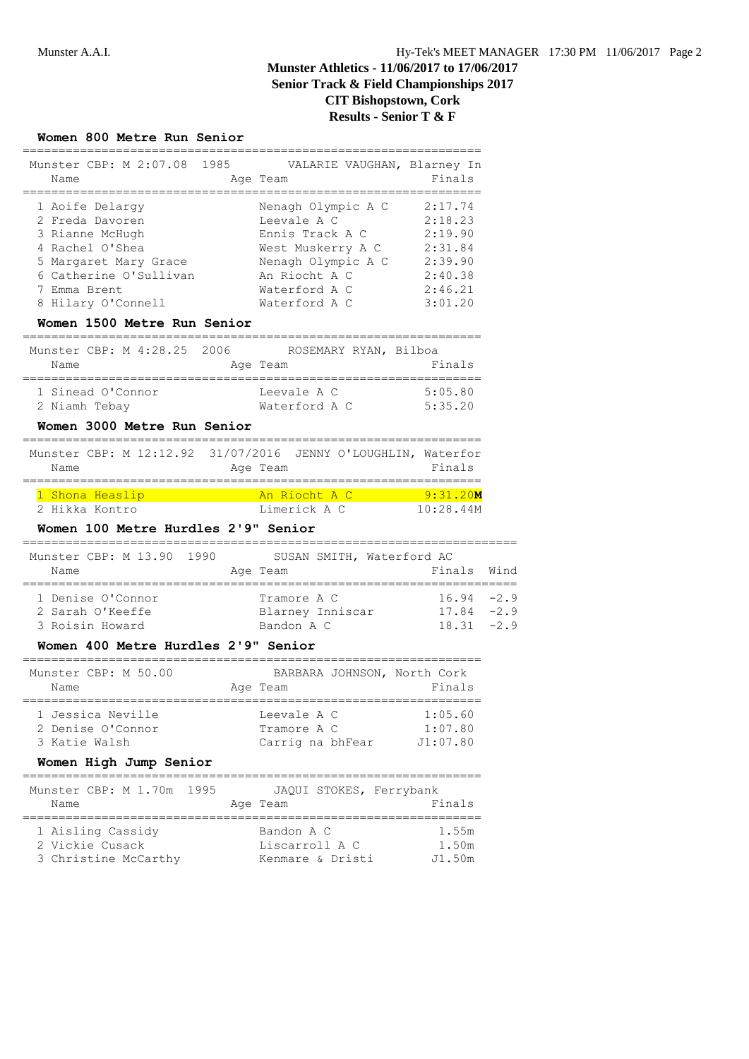### **Women 800 Metre Run Senior**

| Munster CBP: M 2:07.08<br>Name                                                                                                                                                                   | 1985                                                                                                                  | VALARIE VAUGHAN, Blarney In<br>Age Team                                                                                                                            | Finals                                                         |                |
|--------------------------------------------------------------------------------------------------------------------------------------------------------------------------------------------------|-----------------------------------------------------------------------------------------------------------------------|--------------------------------------------------------------------------------------------------------------------------------------------------------------------|----------------------------------------------------------------|----------------|
| 1 Aoife Delargy<br>2 Freda Davoren<br>3 Rianne McHugh<br>4 Rachel O'Shea<br>5 Margaret Mary Grace<br>6 Catherine O'Sullivan<br>7 Emma Brent<br>8 Hilary O'Connell<br>Women 1500 Metre Run Senior |                                                                                                                       | Nenagh Olympic A C<br>Leevale A C<br>Ennis Track A C<br>West Muskerry A C 2:31.84<br>Nenagh Olympic A C 2:39.90<br>An Riocht A C<br>Waterford A C<br>Waterford A C | 2:17.74<br>2:18.23<br>2:19.90<br>2:40.38<br>2:46.21<br>3:01.20 |                |
| Munster CBP: M 4:28.25<br>Name                                                                                                                                                                   | 2006                                                                                                                  | ROSEMARY RYAN, Bilboa<br>Age Team                                                                                                                                  | Finals                                                         |                |
| 1 Sinead O'Connor<br>2 Niamh Tebay<br>Women 3000 Metre Run Senior                                                                                                                                |                                                                                                                       | Leevale A C<br>Waterford A C                                                                                                                                       | 5:05.80<br>5:35.20                                             |                |
| Munster CBP: M 12:12.92 31/07/2016 JENNY O'LOUGHLIN, Waterfor<br>Name                                                                                                                            |                                                                                                                       | Age Team                                                                                                                                                           | Finals                                                         |                |
|                                                                                                                                                                                                  |                                                                                                                       |                                                                                                                                                                    |                                                                |                |
| 1 Shona Heaslip<br>2 Hikka Kontro                                                                                                                                                                | <b>Contract Contract Contract Contract Contract Contract Contract Contract Contract Contract Contract Contract Co</b> | An Riocht A C 9:31.20M<br>Limerick A C                                                                                                                             | 10:28.44M                                                      |                |
| Women 100 Metre Hurdles 2'9" Senior<br>Munster CBP: M 13.90<br>1990<br>Name                                                                                                                      |                                                                                                                       | SUSAN SMITH, Waterford AC<br>Age Team                                                                                                                              | Finals                                                         |                |
| 1 Denise O'Connor<br>2 Sarah O'Keeffe<br>3 Roisin Howard                                                                                                                                         |                                                                                                                       | Tramore A C<br>Blarney Inniscar<br>Bandon A C                                                                                                                      | $16.94 - 2.9$<br>$17.84 - 2.9$<br>18.31                        | Wind<br>$-2.9$ |
| Women 400 Metre Hurdles 2'9" Senior                                                                                                                                                              |                                                                                                                       |                                                                                                                                                                    |                                                                |                |
| Munster CBP: M 50.00<br>Name                                                                                                                                                                     |                                                                                                                       | BARBARA JOHNSON, North Cork<br>Age Team                                                                                                                            | Finals                                                         |                |
| 1 Jessica Neville<br>2 Denise O'Connor<br>3 Katie Walsh<br>Women High Jump Senior                                                                                                                | -------                                                                                                               | Leevale A C<br>Tramore A C<br>Carrig na bhFear                                                                                                                     | 1:05.60<br>1:07.80<br>J1:07.80                                 |                |

 1 Aisling Cassidy Bandon A C 1.55m 2 Vickie Cusack Liscarroll A C 1.50m 3 Christine McCarthy Kenmare & Dristi J1.50m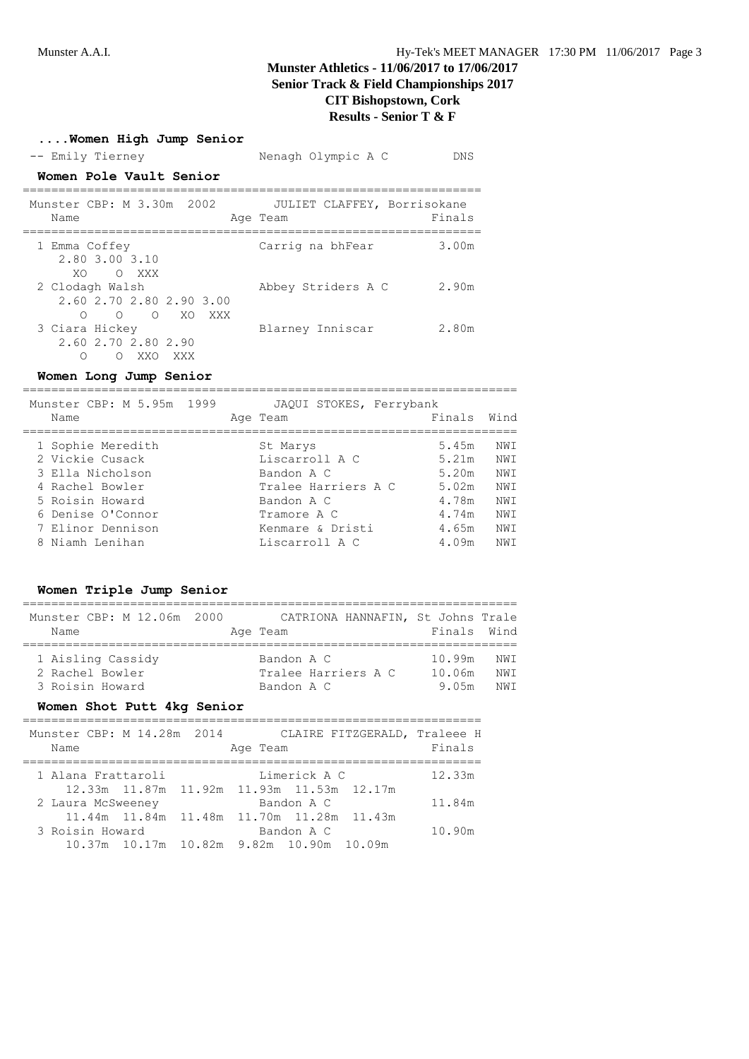**....Women High Jump Senior** -- Emily Tierney Menagh Olympic A C DNS **Women Pole Vault Senior** ================================================================ Munster CBP: M 3.30m 2002 JULIET CLAFFEY, Borrisokane Name Ream Age Team Rinals ================================================================ 1 Emma Coffey Carrig na bhFear 3.00m 2.80 3.00 3.10 XO O XXX<br>2 Clodagh Walsh Abbey Striders A C 2.90m 2.60 2.70 2.80 2.90 3.00 O O O XO XXX 3 Ciara Hickey Blarney Inniscar 2.80m 2.60 2.70 2.80 2.90 O O XXO XXX

#### **Women Long Jump Senior**

=====================================================================

| Munster CBP: M 5.95m 1999<br>Name                                                                                                                           | JAQUI STOKES, Ferrybank<br>Age Team                                                                                                | Finals                                                               | Wind                                                 |
|-------------------------------------------------------------------------------------------------------------------------------------------------------------|------------------------------------------------------------------------------------------------------------------------------------|----------------------------------------------------------------------|------------------------------------------------------|
| 1 Sophie Meredith<br>2 Vickie Cusack<br>3 Ella Nicholson<br>4 Rachel Bowler<br>5 Roisin Howard<br>6 Denise O'Connor<br>7 Elinor Dennison<br>8 Niamh Lenihan | St Marys<br>Liscarroll A C<br>Bandon A C<br>Tralee Harriers A C<br>Bandon A C<br>Tramore A C<br>Kenmare & Dristi<br>Liscarroll A C | 5.45m<br>5.21m<br>5.20m<br>5.02m<br>4.78m<br>4.74m<br>4.65m<br>4.09m | NWI<br>NWI<br>NWI<br>NWI<br>NWI<br>NWI<br>NWI<br>NWI |
|                                                                                                                                                             |                                                                                                                                    |                                                                      |                                                      |

## **Women Triple Jump Senior**

| Munster CBP: M 12.06m 2000<br>Name                      | CATRIONA HANNAFIN, St Johns Trale<br>Age Team   | Finals Wind                                      |
|---------------------------------------------------------|-------------------------------------------------|--------------------------------------------------|
| 1 Aisling Cassidy<br>2 Rachel Bowler<br>3 Roisin Howard | Bandon A C<br>Tralee Harriers A C<br>Bandon A C | 10.99m<br>NW T<br>10.06m<br>NWI<br>9.05m<br>NW T |

#### **Women Shot Putt 4kg Senior**

| Munster CBP: M 14.28m 2014<br>Name |                                                | Age Team |              | CLAIRE FITZGERALD, Traleee H<br>Finals |
|------------------------------------|------------------------------------------------|----------|--------------|----------------------------------------|
| 1 Alana Frattaroli                 |                                                |          | Limerick A C | 12.33m                                 |
|                                    | 12.33m  11.87m  11.92m  11.93m  11.53m  12.17m |          |              |                                        |
| 2 Laura McSweeney                  |                                                |          | Bandon A C   | 11.84m                                 |
|                                    | 11.44m 11.84m 11.48m 11.70m 11.28m 11.43m      |          |              |                                        |
| 3 Roisin Howard                    |                                                |          | Bandon A C   | 10.90m                                 |
|                                    | 10.37m  10.17m  10.82m  9.82m  10.90m  10.09m  |          |              |                                        |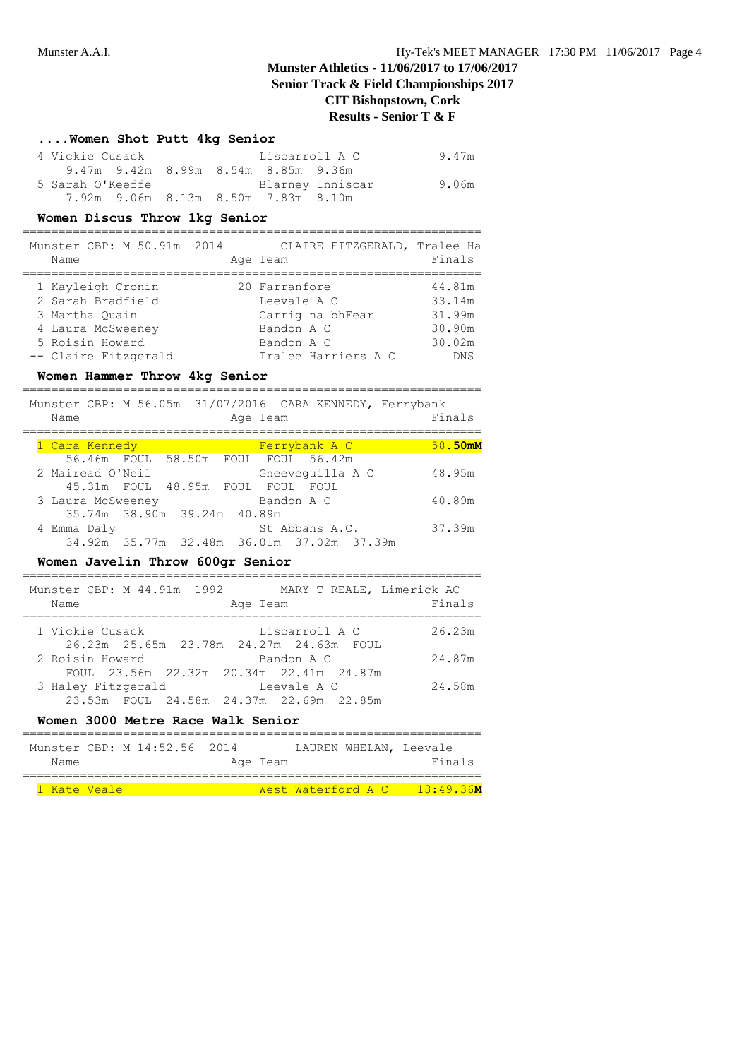## **....Women Shot Putt 4kg Senior**

| 4 Vickie Cusack                     |  | Liscarroll A C |                  | 9.47m |
|-------------------------------------|--|----------------|------------------|-------|
| 9.47m 9.42m 8.99m 8.54m 8.85m 9.36m |  |                |                  |       |
| 5 Sarah O'Keeffe                    |  |                | Blarney Inniscar | 9.06m |
| 7.92m 9.06m 8.13m 8.50m 7.83m 8.10m |  |                |                  |       |

## **Women Discus Throw 1kg Senior**

| Munster CBP: M 50.91m 2014<br>Name |  | CLAIRE FITZGERALD, Tralee Ha<br>Age Team | Finals     |
|------------------------------------|--|------------------------------------------|------------|
| 1 Kayleigh Cronin                  |  | 20 Farranfore                            | 44.81m     |
| 2 Sarah Bradfield                  |  | Leevale A C                              | 33.14m     |
| 3 Martha Ouain                     |  | Carrig na bhFear                         | 31.99m     |
| 4 Laura McSweeney                  |  | Bandon A C                               | 30.90m     |
| 5 Roisin Howard                    |  | Bandon A C                               | 30.02m     |
| -- Claire Fitzgerald               |  | Tralee Harriers A C                      | <b>DNS</b> |

#### **Women Hammer Throw 4kg Senior**

| Munster CBP: M 56.05m 31/07/2016 CARA KENNEDY, Ferrybank<br>Name |                                           | Age Team      |                  | Finals  |
|------------------------------------------------------------------|-------------------------------------------|---------------|------------------|---------|
|                                                                  |                                           |               |                  |         |
| 1 Cara Kennedy                                                   |                                           | Ferrybank A C |                  | 58.50mM |
|                                                                  | 56.46m FOUL 58.50m FOUL FOUL 56.42m       |               |                  |         |
| 2 Mairead O'Neil                                                 |                                           |               | Gneevequilla A C | 48.95m  |
|                                                                  | 45.31m FOUL 48.95m FOUL                   | FOUL          | FOUL.            |         |
| 3 Laura McSweeney                                                |                                           | Bandon A C    |                  | 40.89m  |
|                                                                  | 35.74m 38.90m 39.24m 40.89m               |               |                  |         |
| 4 Emma Daly                                                      |                                           |               | St. Abbans A.C.  | 37.39m  |
|                                                                  | 34.92m 35.77m 32.48m 36.01m 37.02m 37.39m |               |                  |         |

## **Women Javelin Throw 600gr Senior**

| Munster CBP: M 44.91m 1992                                      | MARY T REALE, Limerick AC |
|-----------------------------------------------------------------|---------------------------|
| Name                                                            | Finals<br>Age Team        |
| 1 Vickie Cusack<br>26.23m  25.65m  23.78m  24.27m  24.63m  FOUL | Liscarroll A C<br>26.23m  |
| 2 Roisin Howard                                                 | Bandon A C<br>24.87m      |
| FOUL 23.56m 22.32m 20.34m 22.41m 24.87m                         |                           |
| 3 Haley Fitzgerald                                              | 24.58m<br>Leevale A C     |
| 23.53m FOUL 24.58m 24.37m 22.69m 22.85m                         |                           |

## **Women 3000 Metre Race Walk Senior**

|              |  | Munster CBP: M 14:52.56 2014 |  |          |                    | LAUREN WHELAN, Leevale |
|--------------|--|------------------------------|--|----------|--------------------|------------------------|
| Name         |  |                              |  | Age Team |                    | Finals                 |
|              |  |                              |  |          |                    |                        |
| 1 Kate Veale |  |                              |  |          | West Waterford A C | $13 \cdot 49$ 36M      |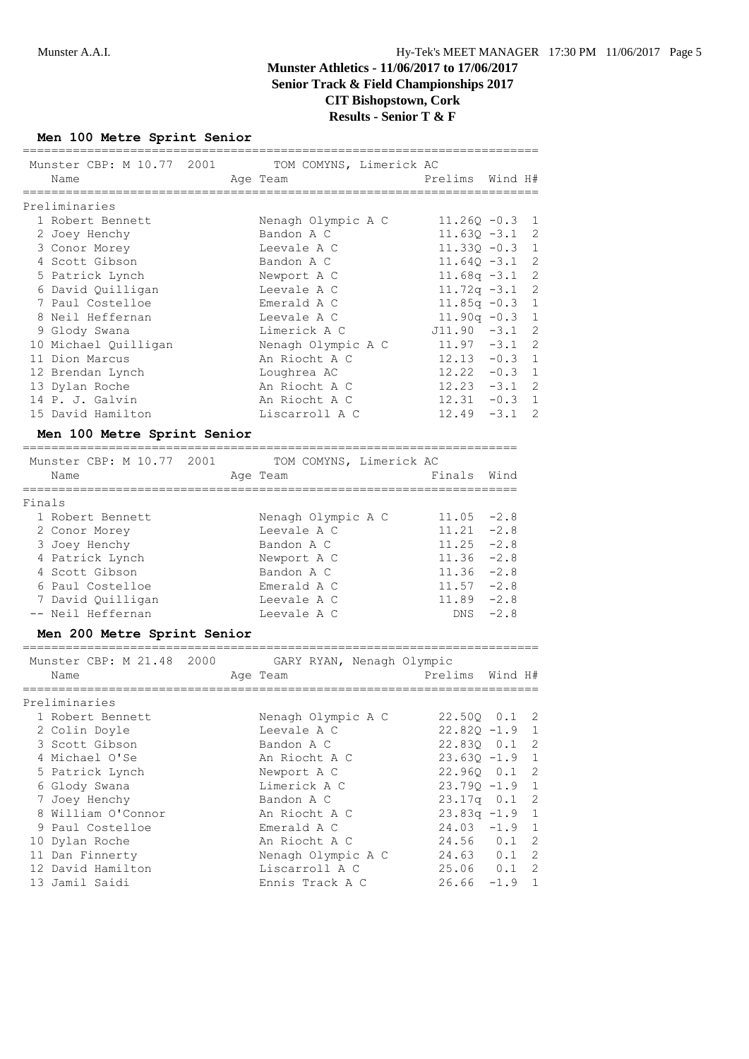**Men 100 Metre Sprint Senior**

| Munster CBP: M 10.77 2001 TOM COMYNS, Limerick AC<br>Name | Age Team           | Prelims Wind H#  |  |
|-----------------------------------------------------------|--------------------|------------------|--|
| Preliminaries                                             |                    |                  |  |
| 1 Robert Bennett                                          | Nenagh Olympic A C | $11.26Q - 0.3$ 1 |  |
| 2 Joey Henchy                                             | Bandon A C         | $11.630 - 3.1$ 2 |  |
| 3 Conor Morey                                             | Leevale A C        | $11.330 - 0.3$ 1 |  |
| 4 Scott Gibson                                            | Bandon A C         | $11.64Q - 3.1$ 2 |  |
| 5 Patrick Lynch                                           | Newport A C        | $11.68q -3.1$ 2  |  |
| 6 David Quilligan                                         | Leevale A C        | $11.72q -3.1$ 2  |  |
| 7 Paul Costelloe                                          | Emerald A C        | $11.85q -0.3$ 1  |  |
| 8 Neil Heffernan                                          | Leevale A C        | $11.90q - 0.3$ 1 |  |
| 9 Glody Swana                                             | Limerick A C       | $J11.90 -3.1 2$  |  |
| 10 Michael Quilligan                                      | Nenagh Olympic A C | $11.97 -3.1$ 2   |  |
| 11 Dion Marcus                                            | An Riocht A C      | $12.13 - 0.3$ 1  |  |
| 12 Brendan Lynch                                          | Loughrea AC        | $12.22 - 0.3$ 1  |  |
| 13 Dylan Roche                                            | An Riocht A C      | $12.23 -3.1$ 2   |  |
| 14 P. J. Galvin                                           | An Riocht A C      | $12.31 -0.3$ 1   |  |
| 15 David Hamilton                                         | Liscarroll A C     | $12.49 - 3.1$ 2  |  |
|                                                           |                    |                  |  |

### **Men 100 Metre Sprint Senior**

|        | Munster CBP: M 10.77 2001<br>Name |  | TOM COMYNS, Limerick AC<br>Age Team | Finals       | Wind   |
|--------|-----------------------------------|--|-------------------------------------|--------------|--------|
| Finals |                                   |  |                                     |              |        |
|        | 1 Robert Bennett                  |  | Nenagh Olympic A C                  | $11.05 -2.8$ |        |
|        | 2 Conor Morey                     |  | Leevale A C                         | 11.21        | $-2.8$ |
|        | 3 Joey Henchy                     |  | Bandon A C                          | $11.25 -2.8$ |        |
|        | 4 Patrick Lynch                   |  | Newport A C                         | $11.36 -2.8$ |        |
|        | 4 Scott Gibson                    |  | Bandon A C                          | $11.36 -2.8$ |        |
|        | 6 Paul Costelloe                  |  | Emerald A C                         | 11.57        | $-2.8$ |
|        | 7 David Quilligan                 |  | Leevale A C                         | 11.89        | $-2.8$ |
|        | -- Neil Heffernan                 |  | Leevale A C                         | DNS          | $-2.8$ |

## **Men 200 Metre Sprint Senior**

======================================================================== Munster CBP: M 21.48 2000 GARY RYAN, Nenagh Olympic

| MUNDLET CDL. M 21.40 2000 | GANI NIAN, NEHAYHI UIYINDIC |                      |                |
|---------------------------|-----------------------------|----------------------|----------------|
| Name                      | Age Team                    | Prelims Wind H#      |                |
| Preliminaries             |                             |                      |                |
| 1 Robert Bennett          | Nenagh Olympic A C          | $22.500 \t 0.1 \t 2$ |                |
| 2 Colin Doyle             | Leevale A C                 | $22.82Q - 1.9$ 1     |                |
| 3 Scott Gibson            | Bandon A C                  | 22.830 0.1 2         |                |
| 4 Michael O'Se            | An Riocht A C               | $23.630 - 1.9$ 1     |                |
| 5 Patrick Lynch           | Newport A C                 | 22.960 0.1 2         |                |
| 6 Glody Swana             | Limerick A C                | $23.790 - 1.9$ 1     |                |
| 7 Joey Henchy             | Bandon A C                  | $23.17q$ 0.1 2       |                |
| 8 William O'Connor        | An Riocht A C               | $23.83q -1.9$ 1      |                |
| 9 Paul Costelloe          | Emerald A C                 | $24.03 -1.9$ 1       |                |
| 10 Dylan Roche            | An Riocht A C               | $24.56$ 0.1 2        |                |
| 11 Dan Finnerty           | Nenagh Olympic A C          | $24.63$ 0.1          | $\overline{2}$ |
| 12 David Hamilton         | Liscarroll A C              | $25.06$ 0.1 2        |                |
| 13 Jamil Saidi            | Ennis Track A C             | $26.66 - 1.9$        | $\overline{1}$ |
|                           |                             |                      |                |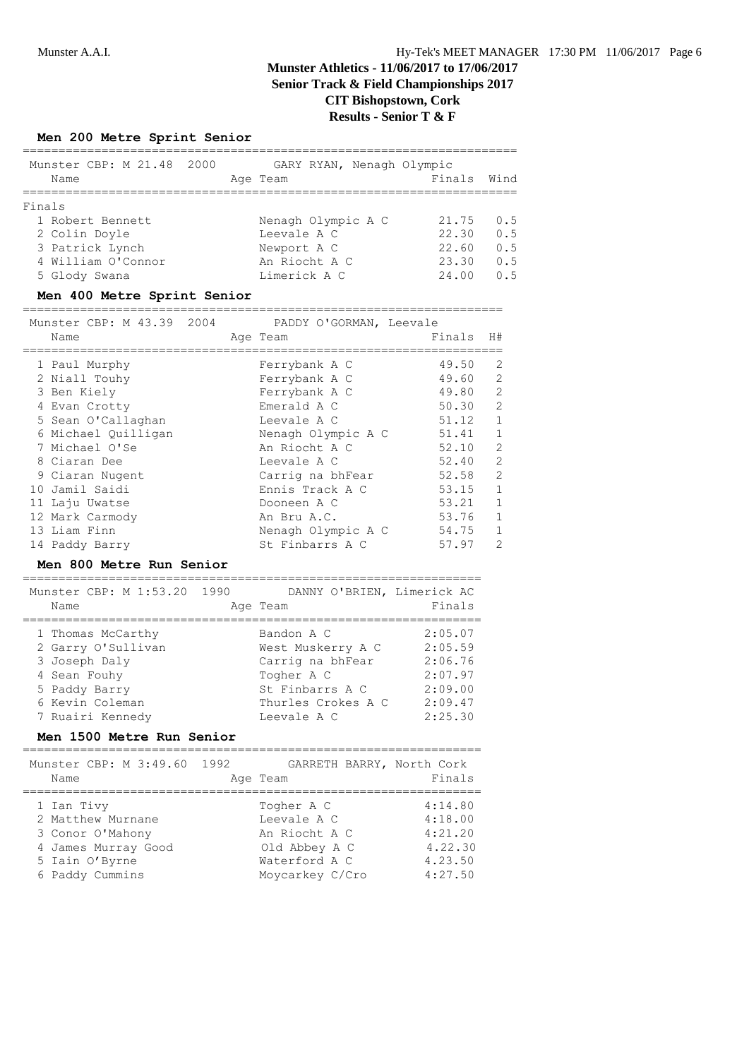## **Men 200 Metre Sprint Senior**

| Munster CBP: M 21.48 2000<br>Name | GARY RYAN, Nenagh Olympic<br>Age Team | Finals | Wind |
|-----------------------------------|---------------------------------------|--------|------|
|                                   |                                       |        |      |
| Finals                            |                                       |        |      |
| 1 Robert Bennett                  | Nenagh Olympic A C                    | 21.75  | 0.5  |
| 2 Colin Doyle                     | Leevale A C                           | 22.30  | 0.5  |
| 3 Patrick Lynch                   | Newport A C                           | 22.60  | 0.5  |
| 4 William O'Connor                | An Riocht A C                         | 23.30  | 0.5  |
| 5 Glody Swana                     | Limerick A C                          | 24.00  | 0.5  |
|                                   |                                       |        |      |

### **Men 400 Metre Sprint Senior**

| Munster CBP: M 43.39 2004<br>Name | PADDY O'GORMAN, Leevale<br>Age Team | Finals | H#             |
|-----------------------------------|-------------------------------------|--------|----------------|
| 1 Paul Murphy                     | Ferrybank A C                       | 49.50  | $\mathcal{L}$  |
| 2 Niall Touhy                     | Ferrybank A C                       | 49.60  | $\mathcal{L}$  |
| 3 Ben Kiely                       | Ferrybank A C                       | 49.80  | $\overline{2}$ |
| 4 Evan Crotty                     | Emerald A C                         | 50.30  | $\mathcal{L}$  |
| 5 Sean O'Callaghan                | Leevale A C                         | 51.12  | 1              |
| 6 Michael Quilligan               | Nenagh Olympic A C                  | 51.41  | 1              |
| 7 Michael O'Se                    | An Riocht A C                       | 52.10  | $\mathcal{L}$  |
| 8 Ciaran Dee                      | Leevale A C                         | 52.40  | $\mathcal{L}$  |
| 9 Ciaran Nugent                   | Carrig na bhFear                    | 52.58  | $\overline{2}$ |
| 10 Jamil Saidi                    | Ennis Track A C                     | 53.15  | 1              |
| 11 Laju Uwatse                    | Dooneen A C                         | 53.21  | 1              |
| 12 Mark Carmody                   | An Bru A.C.                         | 53.76  | $\mathbf{1}$   |
| 13 Liam Finn                      | Nenagh Olympic A C                  | 54.75  | 1              |
| 14 Paddy Barry                    | St Finbarrs A C                     | 57.97  | $\mathfrak{D}$ |

#### **Men 800 Metre Run Senior**

================================================================ Munster CBP: M 1:53.20 1990 DANNY O'BRIEN, Limerick AC

| Name                                                                                                                             | Age Team                                                                                                                  | Finals                                                                    |
|----------------------------------------------------------------------------------------------------------------------------------|---------------------------------------------------------------------------------------------------------------------------|---------------------------------------------------------------------------|
| 1 Thomas McCarthy<br>2 Garry O'Sullivan<br>3 Joseph Daly<br>4 Sean Fouhy<br>5 Paddy Barry<br>6 Kevin Coleman<br>7 Ruairi Kennedy | Bandon A C<br>West Muskerry A C<br>Carrig na bhFear<br>Togher A C<br>St Finbarrs A C<br>Thurles Crokes A C<br>Leevale A C | 2:05.07<br>2:05.59<br>2:06.76<br>2:07.97<br>2:09.00<br>2:09.47<br>2:25.30 |
|                                                                                                                                  |                                                                                                                           |                                                                           |

## **Men 1500 Metre Run Senior**

| Munster CBP: M 3:49.60 1992<br>Name                                                                             | GARRETH BARRY, North Cork<br>Age Team                                                           | Finals                                                         |
|-----------------------------------------------------------------------------------------------------------------|-------------------------------------------------------------------------------------------------|----------------------------------------------------------------|
| 1 Ian Tivy<br>2 Matthew Murnane<br>3 Conor O'Mahony<br>4 James Murray Good<br>5 Iain O'Byrne<br>6 Paddy Cummins | Togher A C<br>Leevale A C<br>An Riocht A C<br>Old Abbey A C<br>Waterford A C<br>Moycarkey C/Cro | 4:14.80<br>4:18.00<br>4:21.20<br>4.22.30<br>4.23.50<br>4:27.50 |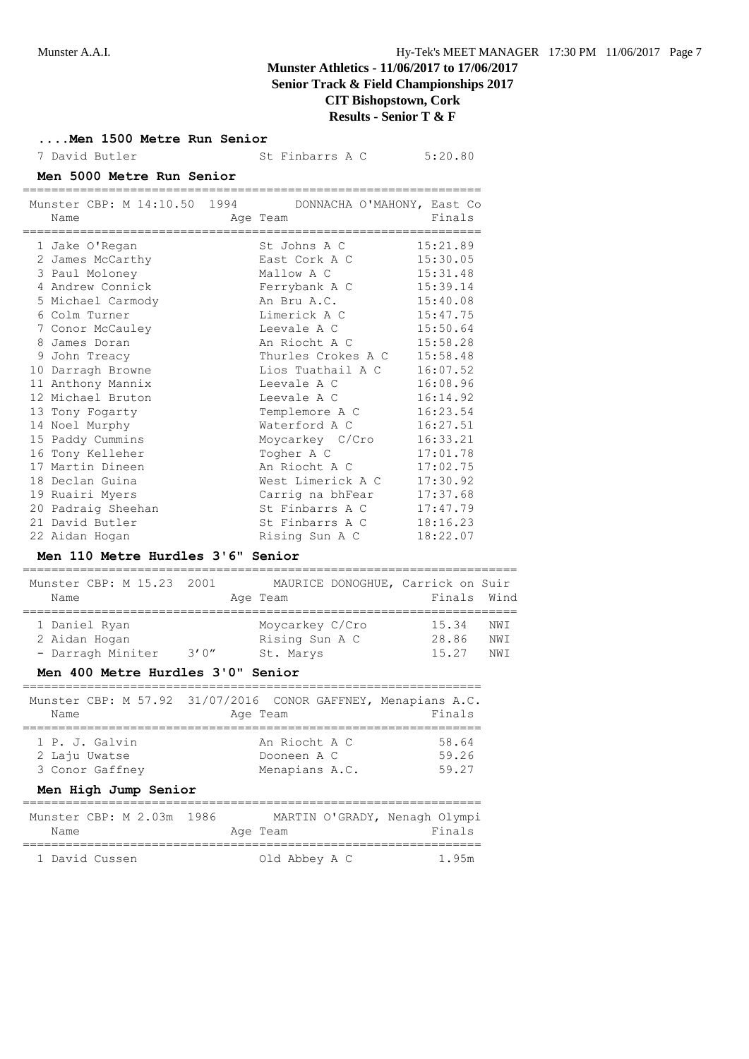**....Men 1500 Metre Run Senior**

| 7 David Butler | St Finbarrs A C | 5:20.80 |
|----------------|-----------------|---------|
|                |                 |         |

### **Men 5000 Metre Run Senior**

| Munster CBP: M 14:10.50 1994<br>Name                                                                                                                                                                                                                                                                                                                                                                             | DONNACHA O'MAHONY, East Co<br>Age Team                                                                                                                                                                                                                                                                                                                         | Finals                                                                                                                                                                                                                           |
|------------------------------------------------------------------------------------------------------------------------------------------------------------------------------------------------------------------------------------------------------------------------------------------------------------------------------------------------------------------------------------------------------------------|----------------------------------------------------------------------------------------------------------------------------------------------------------------------------------------------------------------------------------------------------------------------------------------------------------------------------------------------------------------|----------------------------------------------------------------------------------------------------------------------------------------------------------------------------------------------------------------------------------|
| ==================================<br>1 Jake O'Regan<br>2 James McCarthy<br>3 Paul Moloney<br>4 Andrew Connick<br>5 Michael Carmody<br>6 Colm Turner<br>7 Conor McCauley<br>8 James Doran<br>9 John Treacy<br>10 Darragh Browne<br>11 Anthony Mannix<br>12 Michael Bruton<br>13 Tony Fogarty<br>14 Noel Murphy<br>15 Paddy Cummins<br>16 Tony Kelleher<br>17 Martin Dineen<br>18 Declan Guina<br>19 Ruairi Myers | ========================<br>St Johns A C<br>East Cork A C<br>Mallow A C<br>Ferrybank A C<br>An Bru A.C.<br>Limerick A C<br>Leevale A C<br>An Riocht A C<br>Thurles Crokes A C<br>Lios Tuathail A C<br>Leevale A C<br>Leevale A C<br>Templemore A C<br>Waterford A C<br>Moycarkey C/Cro<br>Togher A C<br>An Riocht A C<br>West Limerick A C<br>Carrig na bhFear | 15:21.89<br>15:30.05<br>15:31.48<br>15:39.14<br>15:40.08<br>15:47.75<br>15:50.64<br>15:58.28<br>15:58.48<br>16:07.52<br>16:08.96<br>16:14.92<br>16:23.54<br>16:27.51<br>16:33.21<br>17:01.78<br>17:02.75<br>17:30.92<br>17:37.68 |
| 20 Padraig Sheehan<br>21 David Butler<br>22 Aidan Hogan                                                                                                                                                                                                                                                                                                                                                          | St Finbarrs A C<br>St Finbarrs A C<br>Rising Sun A C                                                                                                                                                                                                                                                                                                           | 17:47.79<br>18:16.23<br>18:22.07                                                                                                                                                                                                 |

## **Men 110 Metre Hurdles 3'6" Senior**

| Munster CBP: M 15.23 2001 |       | MAURICE DONOGHUE, Carrick on Suir |             |      |
|---------------------------|-------|-----------------------------------|-------------|------|
| Name                      |       | Age Team                          | Finals Wind |      |
| 1 Daniel Ryan             |       | Moycarkey C/Cro                   | 15.34       | NW I |
| 2 Aidan Hogan             |       | Rising Sun A C                    | 28.86       | NW I |
| - Darragh Miniter         | 3'0'' | St. Marys                         | 15.27       | NW T |

## **Men 400 Metre Hurdles 3'0" Senior**

| Name            | Munster CBP: M 57.92 31/07/2016 CONOR GAFFNEY, Menapians A.C.<br>Age Team | Finals |
|-----------------|---------------------------------------------------------------------------|--------|
| 1 P. J. Galvin  | An Riocht A C                                                             | 58.64  |
| 2 Laju Uwatse   | Dooneen A C                                                               | 59.26  |
| 3 Conor Gaffney | Menapians A.C.                                                            | 59.27  |

## **Men High Jump Senior**

| Munster CBP: M 2.03m 1986<br>Name | Age Team      | MARTIN O'GRADY, Nenagh Olympi<br>Finals |
|-----------------------------------|---------------|-----------------------------------------|
| 1 David Cussen                    | Old Abbey A C | 1.95m                                   |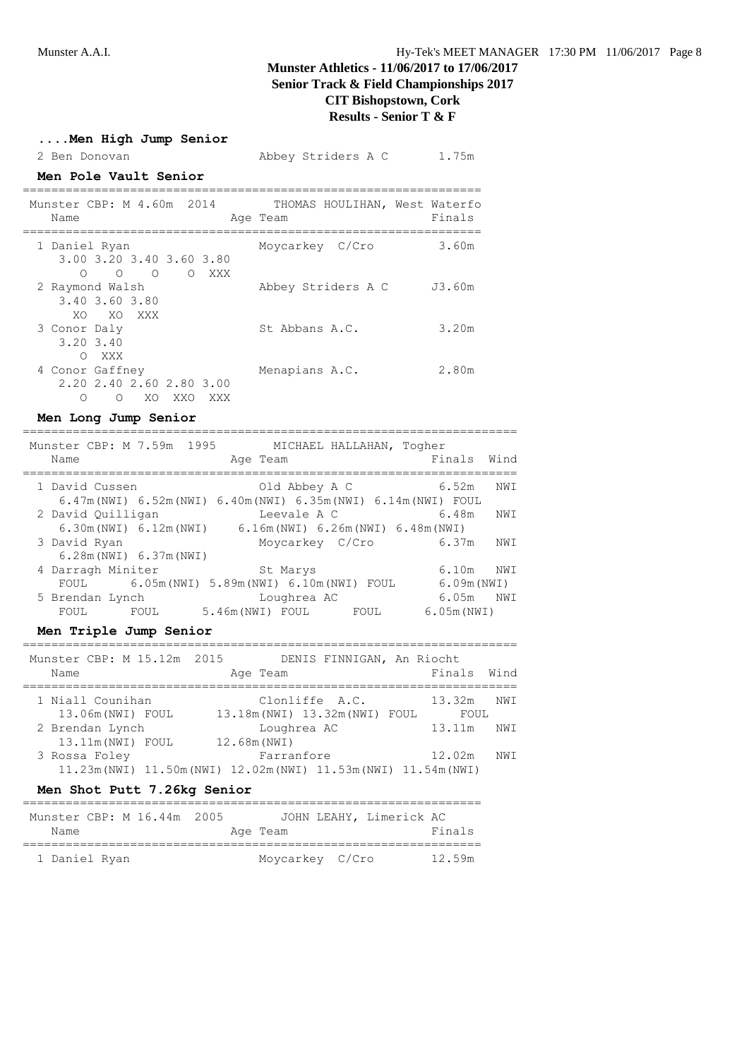**....Men High Jump Senior**

# **Munster Athletics - 11/06/2017 to 17/06/2017 Senior Track & Field Championships 2017 CIT Bishopstown, Cork Results - Senior T & F**

2 Ben Donovan Mbbey Striders A C 1.75m **Men Pole Vault Senior** ================================================================ Munster CBP: M 4.60m 2014 THOMAS HOULIHAN, West Waterfo Name Ream Age Team Rinals ================================================================ 1 Daniel Ryan Moycarkey C/Cro 3.60m 3.00 3.20 3.40 3.60 3.80 O O O O XXX 2 Raymond Walsh Abbey Striders A C J3.60m 3.40 3.60 3.80 XO XO XXX 3 Conor Daly St Abbans A.C. 3.20m 3.20 3.40 O XXX 4 Conor Gaffney Menapians A.C. 2.80m 2.20 2.40 2.60 2.80 3.00 O O XO XXO XXX **Men Long Jump Senior** ===================================================================== Munster CBP: M 7.59m 1995 MICHAEL HALLAHAN, Togher Name **Age Team** Age Team Finals Wind ===================================================================== 1 David Cussen Old Abbey A C 6.52m NWI 6.47m(NWI) 6.52m(NWI) 6.40m(NWI) 6.35m(NWI) 6.14m(NWI) FOUL 2 David Quilligan Leevale A C 6.48m NWI 6.30m(NWI) 6.12m(NWI) 6.16m(NWI) 6.26m(NWI) 6.48m(NWI) Moycarkey C/Cro 6.37m NWI 6.28m(NWI) 6.37m(NWI)

|       |      |                                      |                       |                             | 6.10m NWI                                            |     |
|-------|------|--------------------------------------|-----------------------|-----------------------------|------------------------------------------------------|-----|
| FOUL  |      |                                      |                       |                             | 6.09m(NWI)                                           |     |
|       |      |                                      |                       |                             | 6.05m                                                | NWI |
| FOUL. | FOUL |                                      |                       | FOUL                        | 6.05m(NWI)                                           |     |
|       |      | 4 Darragh Miniter<br>5 Brendan Lynch | 0.Z8M(NWI) 0.3/M(NWI) | St Marys<br>5.46m(NWI) FOUL | 6.05m(NWI) 5.89m(NWI) 6.10m(NWI) FOUL<br>Loughrea AC |     |

=====================================================================

#### **Men Triple Jump Senior**

Munster CBP: M 15.12m 2015 DENIS FINNIGAN, An Riocht Name **Age Team** Age Team Finals Wind ===================================================================== 1 Niall Counihan Clonliffe A.C. 13.32m NWI 13.06m(NWI) FOUL 13.18m(NWI) 13.32m(NWI) FOUL FOUL 2 Brendan Lynch Loughrea AC 13.11m NWI 13.11m(NWI) FOUL 12.68m(NWI) 3 Rossa Foley Farranfore 12.02m NWI 11.23m(NWI) 11.50m(NWI) 12.02m(NWI) 11.53m(NWI) 11.54m(NWI)

**Men Shot Putt 7.26kg Senior**

| Munster CBP: M 16.44m 2005<br>Name | JOHN LEAHY, Limerick AC<br>Age Team | Finals |
|------------------------------------|-------------------------------------|--------|
| 1 Daniel Ryan                      | Moycarkey C/Cro                     | 12.59m |